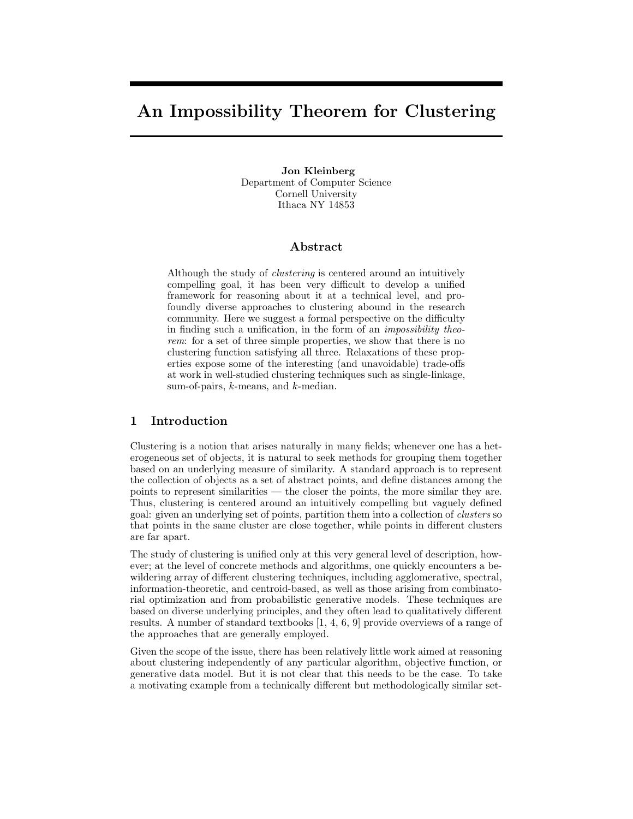# An Impossibility Theorem for Clustering

Jon Kleinberg Department of Computer Science Cornell University Ithaca NY 14853

### Abstract

Although the study of clustering is centered around an intuitively compelling goal, it has been very difficult to develop a unified framework for reasoning about it at a technical level, and profoundly diverse approaches to clustering abound in the research community. Here we suggest a formal perspective on the difficulty in finding such a unification, in the form of an impossibility theorem: for a set of three simple properties, we show that there is no clustering function satisfying all three. Relaxations of these properties expose some of the interesting (and unavoidable) trade-offs at work in well-studied clustering techniques such as single-linkage, sum-of-pairs,  $k$ -means, and  $k$ -median.

# 1 Introduction

Clustering is a notion that arises naturally in many fields; whenever one has a heterogeneous set of objects, it is natural to seek methods for grouping them together based on an underlying measure of similarity. A standard approach is to represent the collection of objects as a set of abstract points, and define distances among the points to represent similarities — the closer the points, the more similar they are. Thus, clustering is centered around an intuitively compelling but vaguely defined goal: given an underlying set of points, partition them into a collection of clusters so that points in the same cluster are close together, while points in different clusters are far apart.

The study of clustering is unified only at this very general level of description, however; at the level of concrete methods and algorithms, one quickly encounters a bewildering array of different clustering techniques, including agglomerative, spectral, information-theoretic, and centroid-based, as well as those arising from combinatorial optimization and from probabilistic generative models. These techniques are based on diverse underlying principles, and they often lead to qualitatively different results. A number of standard textbooks [1, 4, 6, 9] provide overviews of a range of the approaches that are generally employed.

Given the scope of the issue, there has been relatively little work aimed at reasoning about clustering independently of any particular algorithm, objective function, or generative data model. But it is not clear that this needs to be the case. To take a motivating example from a technically different but methodologically similar set-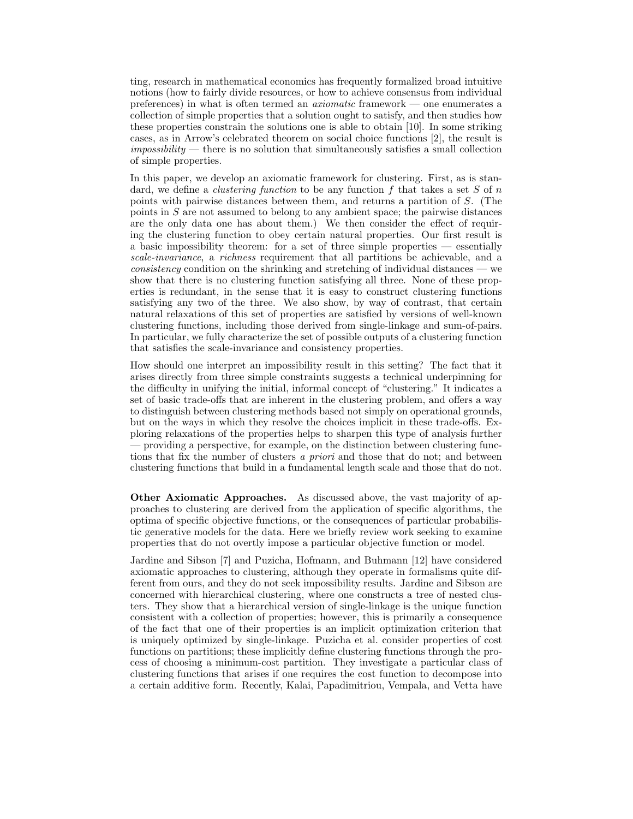ting, research in mathematical economics has frequently formalized broad intuitive notions (how to fairly divide resources, or how to achieve consensus from individual preferences) in what is often termed an axiomatic framework — one enumerates a collection of simple properties that a solution ought to satisfy, and then studies how these properties constrain the solutions one is able to obtain [10]. In some striking cases, as in Arrow's celebrated theorem on social choice functions [2], the result is  $impossibleity$  — there is no solution that simultaneously satisfies a small collection of simple properties.

In this paper, we develop an axiomatic framework for clustering. First, as is standard, we define a *clustering function* to be any function f that takes a set S of n points with pairwise distances between them, and returns a partition of S. (The points in S are not assumed to belong to any ambient space; the pairwise distances are the only data one has about them.) We then consider the effect of requiring the clustering function to obey certain natural properties. Our first result is a basic impossibility theorem: for a set of three simple properties — essentially scale-invariance, a richness requirement that all partitions be achievable, and a  $consistency$  condition on the shrinking and stretching of individual distances — we show that there is no clustering function satisfying all three. None of these properties is redundant, in the sense that it is easy to construct clustering functions satisfying any two of the three. We also show, by way of contrast, that certain natural relaxations of this set of properties are satisfied by versions of well-known clustering functions, including those derived from single-linkage and sum-of-pairs. In particular, we fully characterize the set of possible outputs of a clustering function that satisfies the scale-invariance and consistency properties.

How should one interpret an impossibility result in this setting? The fact that it arises directly from three simple constraints suggests a technical underpinning for the difficulty in unifying the initial, informal concept of "clustering." It indicates a set of basic trade-offs that are inherent in the clustering problem, and offers a way to distinguish between clustering methods based not simply on operational grounds, but on the ways in which they resolve the choices implicit in these trade-offs. Exploring relaxations of the properties helps to sharpen this type of analysis further — providing a perspective, for example, on the distinction between clustering functions that fix the number of clusters a priori and those that do not; and between clustering functions that build in a fundamental length scale and those that do not.

Other Axiomatic Approaches. As discussed above, the vast majority of approaches to clustering are derived from the application of specific algorithms, the optima of specific objective functions, or the consequences of particular probabilistic generative models for the data. Here we briefly review work seeking to examine properties that do not overtly impose a particular objective function or model.

Jardine and Sibson [7] and Puzicha, Hofmann, and Buhmann [12] have considered axiomatic approaches to clustering, although they operate in formalisms quite different from ours, and they do not seek impossibility results. Jardine and Sibson are concerned with hierarchical clustering, where one constructs a tree of nested clusters. They show that a hierarchical version of single-linkage is the unique function consistent with a collection of properties; however, this is primarily a consequence of the fact that one of their properties is an implicit optimization criterion that is uniquely optimized by single-linkage. Puzicha et al. consider properties of cost functions on partitions; these implicitly define clustering functions through the process of choosing a minimum-cost partition. They investigate a particular class of clustering functions that arises if one requires the cost function to decompose into a certain additive form. Recently, Kalai, Papadimitriou, Vempala, and Vetta have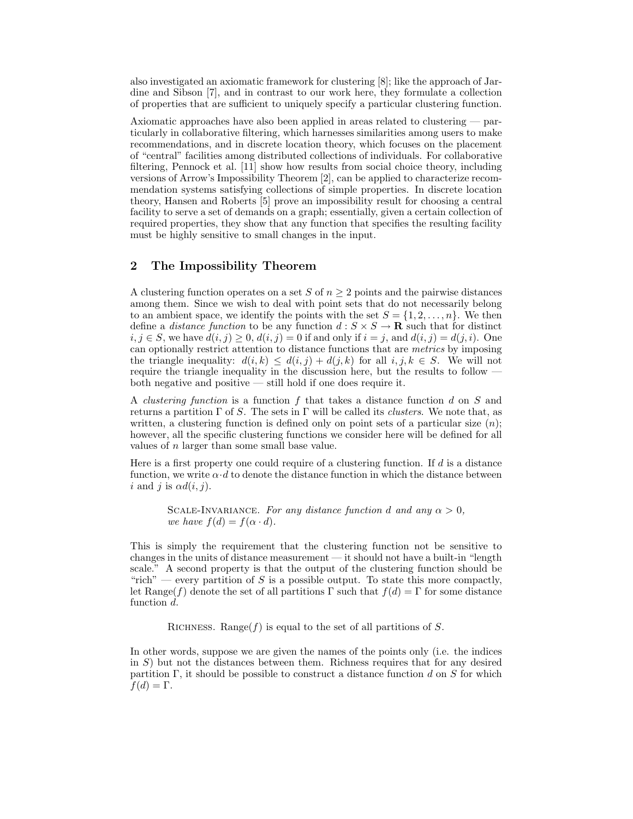also investigated an axiomatic framework for clustering [8]; like the approach of Jardine and Sibson [7], and in contrast to our work here, they formulate a collection of properties that are sufficient to uniquely specify a particular clustering function.

Axiomatic approaches have also been applied in areas related to clustering — particularly in collaborative filtering, which harnesses similarities among users to make recommendations, and in discrete location theory, which focuses on the placement of "central" facilities among distributed collections of individuals. For collaborative filtering, Pennock et al. [11] show how results from social choice theory, including versions of Arrow's Impossibility Theorem [2], can be applied to characterize recommendation systems satisfying collections of simple properties. In discrete location theory, Hansen and Roberts [5] prove an impossibility result for choosing a central facility to serve a set of demands on a graph; essentially, given a certain collection of required properties, they show that any function that specifies the resulting facility must be highly sensitive to small changes in the input.

# 2 The Impossibility Theorem

A clustering function operates on a set S of  $n \geq 2$  points and the pairwise distances among them. Since we wish to deal with point sets that do not necessarily belong to an ambient space, we identify the points with the set  $S = \{1, 2, \ldots, n\}$ . We then define a *distance function* to be any function  $d : S \times S \to \mathbf{R}$  such that for distinct  $i, j \in S$ , we have  $d(i, j) \geq 0$ ,  $d(i, j) = 0$  if and only if  $i = j$ , and  $d(i, j) = d(j, i)$ . One can optionally restrict attention to distance functions that are metrics by imposing the triangle inequality:  $d(i, k) \leq d(i, j) + d(j, k)$  for all  $i, j, k \in S$ . We will not require the triangle inequality in the discussion here, but the results to follow both negative and positive — still hold if one does require it.

A clustering function is a function f that takes a distance function d on S and returns a partition  $\Gamma$  of S. The sets in  $\Gamma$  will be called its *clusters*. We note that, as written, a clustering function is defined only on point sets of a particular size  $(n)$ ; however, all the specific clustering functions we consider here will be defined for all values of n larger than some small base value.

Here is a first property one could require of a clustering function. If  $d$  is a distance function, we write  $\alpha \cdot d$  to denote the distance function in which the distance between i and j is  $\alpha d(i, j)$ .

SCALE-INVARIANCE. For any distance function d and any  $\alpha > 0$ . we have  $f(d) = f(\alpha \cdot d)$ .

This is simply the requirement that the clustering function not be sensitive to changes in the units of distance measurement — it should not have a built-in "length scale." A second property is that the output of the clustering function should be "rich" — every partition of S is a possible output. To state this more compactly, let Range(f) denote the set of all partitions  $\Gamma$  such that  $f(d) = \Gamma$  for some distance function d.

RICHNESS. Range( $f$ ) is equal to the set of all partitions of S.

In other words, suppose we are given the names of the points only (i.e. the indices in S) but not the distances between them. Richness requires that for any desired partition  $\Gamma$ , it should be possible to construct a distance function d on S for which  $f(d) = \Gamma$ .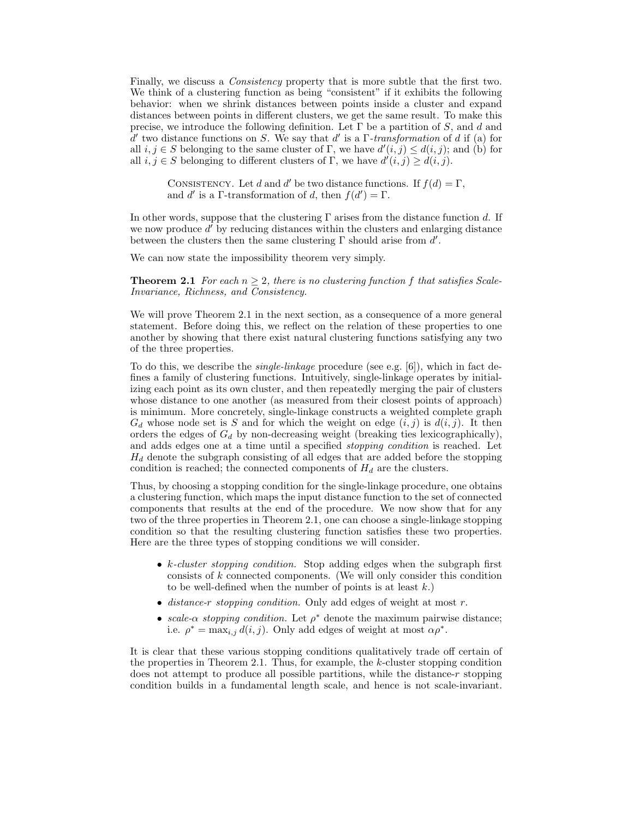Finally, we discuss a *Consistency* property that is more subtle that the first two. We think of a clustering function as being "consistent" if it exhibits the following behavior: when we shrink distances between points inside a cluster and expand distances between points in different clusters, we get the same result. To make this precise, we introduce the following definition. Let  $\Gamma$  be a partition of S, and d and  $\overline{d}$  two distance functions on S. We say that d' is a Γ-transformation of d if (a) for all  $i, j \in S$  belonging to the same cluster of  $\Gamma$ , we have  $d'(i, j) \leq d(i, j)$ ; and (b) for all  $i, j \in S$  belonging to different clusters of  $\Gamma$ , we have  $d'(i, j) \geq d(i, j)$ .

CONSISTENCY. Let d and d' be two distance functions. If  $f(d) = \Gamma$ , and d' is a Γ-transformation of d, then  $f(d') = \Gamma$ .

In other words, suppose that the clustering  $\Gamma$  arises from the distance function d. If we now produce  $d'$  by reducing distances within the clusters and enlarging distance between the clusters then the same clustering  $\Gamma$  should arise from  $d'$ .

We can now state the impossibility theorem very simply.

**Theorem 2.1** For each  $n > 2$ , there is no clustering function f that satisfies Scale-Invariance, Richness, and Consistency.

We will prove Theorem 2.1 in the next section, as a consequence of a more general statement. Before doing this, we reflect on the relation of these properties to one another by showing that there exist natural clustering functions satisfying any two of the three properties.

To do this, we describe the *single-linkage* procedure (see e.g.  $[6]$ ), which in fact defines a family of clustering functions. Intuitively, single-linkage operates by initializing each point as its own cluster, and then repeatedly merging the pair of clusters whose distance to one another (as measured from their closest points of approach) is minimum. More concretely, single-linkage constructs a weighted complete graph  $G_d$  whose node set is S and for which the weight on edge  $(i, j)$  is  $d(i, j)$ . It then orders the edges of  $G_d$  by non-decreasing weight (breaking ties lexicographically), and adds edges one at a time until a specified stopping condition is reached. Let  $H_d$  denote the subgraph consisting of all edges that are added before the stopping condition is reached; the connected components of  $H_d$  are the clusters.

Thus, by choosing a stopping condition for the single-linkage procedure, one obtains a clustering function, which maps the input distance function to the set of connected components that results at the end of the procedure. We now show that for any two of the three properties in Theorem 2.1, one can choose a single-linkage stopping condition so that the resulting clustering function satisfies these two properties. Here are the three types of stopping conditions we will consider.

- $k$ -cluster stopping condition. Stop adding edges when the subgraph first consists of k connected components. (We will only consider this condition to be well-defined when the number of points is at least  $k$ .)
- distance-r stopping condition. Only add edges of weight at most  $r$ .
- scale- $\alpha$  stopping condition. Let  $\rho^*$  denote the maximum pairwise distance; i.e.  $\rho^* = \max_{i,j} d(i,j)$ . Only add edges of weight at most  $\alpha \rho^*$ .

It is clear that these various stopping conditions qualitatively trade off certain of the properties in Theorem 2.1. Thus, for example, the k-cluster stopping condition does not attempt to produce all possible partitions, while the distance-r stopping condition builds in a fundamental length scale, and hence is not scale-invariant.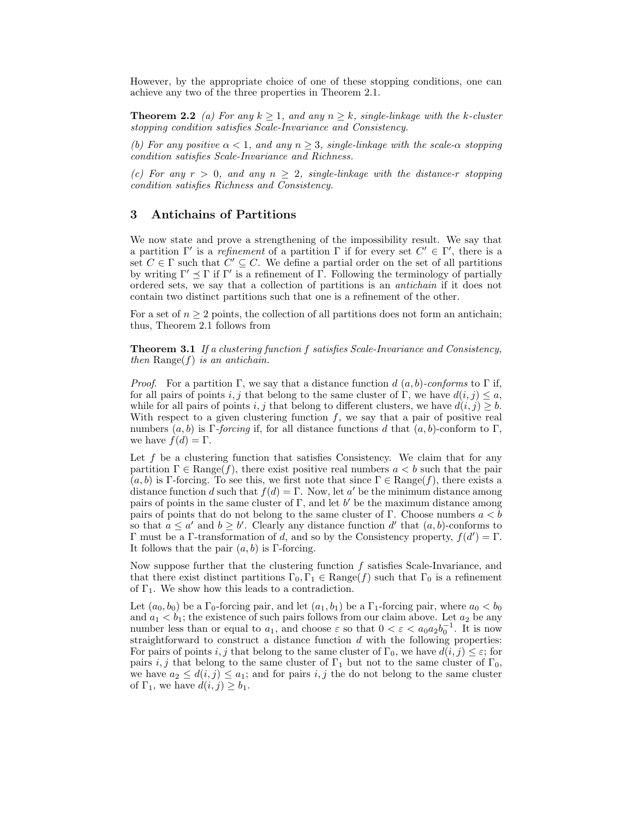However, by the appropriate choice of one of these stopping conditions, one can achieve any two of the three properties in Theorem 2.1.

**Theorem 2.2** (a) For any  $k > 1$ , and any  $n > k$ , single-linkage with the k-cluster stopping condition satisfies Scale-Invariance and Consistency.

(b) For any positive  $\alpha < 1$ , and any  $n \geq 3$ , single-linkage with the scale- $\alpha$  stopping condition satisfies Scale-Invariance and Richness.

(c) For any  $r > 0$ , and any  $n \geq 2$ , single-linkage with the distance-r stopping condition satisfies Richness and Consistency.

#### 3 Antichains of Partitions

We now state and prove a strengthening of the impossibility result. We say that a partition  $\Gamma'$  is a *refinement* of a partition  $\Gamma$  if for every set  $C' \in \Gamma'$ , there is a set  $C \in \Gamma$  such that  $C' \subseteq C$ . We define a partial order on the set of all partitions by writing  $\Gamma' \preceq \Gamma$  if  $\Gamma'$  is a refinement of  $\Gamma$ . Following the terminology of partially ordered sets, we say that a collection of partitions is an antichain if it does not contain two distinct partitions such that one is a refinement of the other.

For a set of  $n \geq 2$  points, the collection of all partitions does not form an antichain; thus, Theorem 2.1 follows from

**Theorem 3.1** If a clustering function f satisfies Scale-Invariance and Consistency, then  $\text{Range}(f)$  is an antichain.

*Proof.* For a partition Γ, we say that a distance function d  $(a, b)$ -conforms to Γ if, for all pairs of points i, j that belong to the same cluster of Γ, we have  $d(i, j) \leq a$ , while for all pairs of points i, j that belong to different clusters, we have  $d(i, j) \geq b$ . With respect to a given clustering function  $f$ , we say that a pair of positive real numbers  $(a, b)$  is Γ-forcing if, for all distance functions d that  $(a, b)$ -conform to Γ, we have  $f(d) = \Gamma$ .

Let  $f$  be a clustering function that satisfies Consistency. We claim that for any partition  $\Gamma \in \text{Range}(f)$ , there exist positive real numbers  $a < b$  such that the pair  $(a, b)$  is Γ-forcing. To see this, we first note that since  $\Gamma \in \text{Range}(f)$ , there exists a distance function d such that  $f(d) = \Gamma$ . Now, let a' be the minimum distance among pairs of points in the same cluster of  $\Gamma$ , and let b' be the maximum distance among pairs of points that do not belong to the same cluster of Γ. Choose numbers  $a < b$ so that  $a \le a'$  and  $b \ge b'$ . Clearly any distance function d' that  $(a, b)$ -conforms to Γ must be a Γ-transformation of d, and so by the Consistency property,  $f(d') = Γ$ . It follows that the pair  $(a, b)$  is Γ-forcing.

Now suppose further that the clustering function  $f$  satisfies Scale-Invariance, and that there exist distinct partitions  $\Gamma_0, \Gamma_1 \in \text{Range}(f)$  such that  $\Gamma_0$  is a refinement of  $\Gamma_1$ . We show how this leads to a contradiction.

Let  $(a_0, b_0)$  be a  $\Gamma_0$ -forcing pair, and let  $(a_1, b_1)$  be a  $\Gamma_1$ -forcing pair, where  $a_0 < b_0$ and  $a_1 < b_1$ ; the existence of such pairs follows from our claim above. Let  $a_2$  be any number less than or equal to  $a_1$ , and choose  $\varepsilon$  so that  $0 < \varepsilon < a_0 a_2 b_0^{-1}$ . It is now straightforward to construct a distance function  $d$  with the following properties: For pairs of points i, j that belong to the same cluster of  $\Gamma_0$ , we have  $d(i, j) \leq \varepsilon$ ; for pairs i, j that belong to the same cluster of  $\Gamma_1$  but not to the same cluster of  $\Gamma_0$ , we have  $a_2 \leq d(i, j) \leq a_1$ ; and for pairs i, j the do not belong to the same cluster of  $\Gamma_1$ , we have  $d(i, j) \geq b_1$ .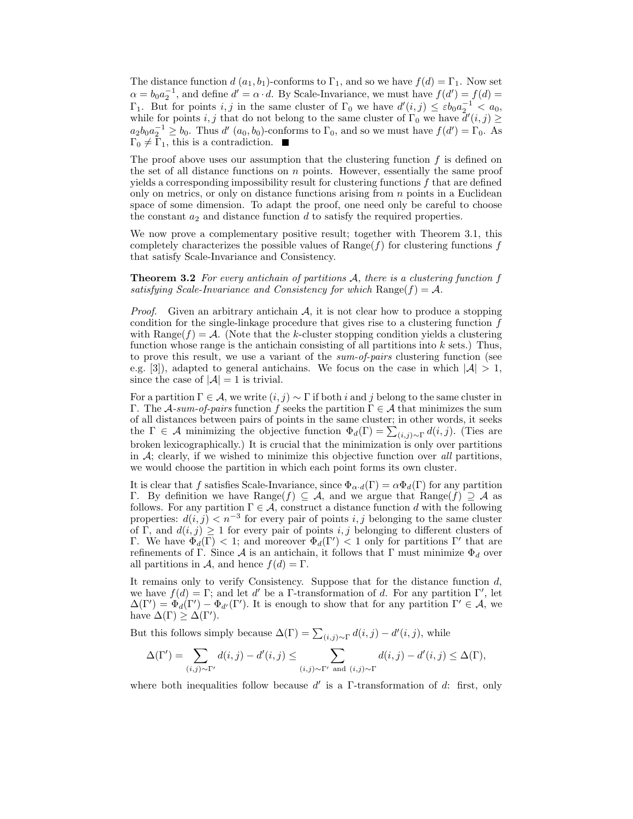The distance function  $d(a_1, b_1)$ -conforms to  $\Gamma_1$ , and so we have  $f(d) = \Gamma_1$ . Now set  $\alpha = b_0 a_2^{-1}$ , and define  $d' = \alpha \cdot d$ . By Scale-Invariance, we must have  $f(d') = f(d)$  $\Gamma_1$ . But for points i, j in the same cluster of  $\Gamma_0$  we have  $d'(i,j) \leq \varepsilon b_0 a_2^{-1} < a_0$ , while for points i, j that do not belong to the same cluster of  $\Gamma_0$  we have  $d'(i, j) \geq$  $a_2b_0a_2^{-1} \ge b_0$ . Thus d'  $(a_0, b_0)$ -conforms to  $\Gamma_0$ , and so we must have  $f(d') = \Gamma_0$ . As  $\Gamma_0 \neq \Gamma_1$ , this is a contradiction.

The proof above uses our assumption that the clustering function  $f$  is defined on the set of all distance functions on  $n$  points. However, essentially the same proof yields a corresponding impossibility result for clustering functions  $f$  that are defined only on metrics, or only on distance functions arising from  $n$  points in a Euclidean space of some dimension. To adapt the proof, one need only be careful to choose the constant  $a_2$  and distance function  $d$  to satisfy the required properties.

We now prove a complementary positive result; together with Theorem 3.1, this completely characterizes the possible values of  $Range(f)$  for clustering functions f that satisfy Scale-Invariance and Consistency.

**Theorem 3.2** For every antichain of partitions  $A$ , there is a clustering function f satisfying Scale-Invariance and Consistency for which  $\text{Range}(f) = A$ .

*Proof.* Given an arbitrary antichain  $A$ , it is not clear how to produce a stopping condition for the single-linkage procedure that gives rise to a clustering function  $f$ with Range( $f$ ) = A. (Note that the k-cluster stopping condition yields a clustering function whose range is the antichain consisting of all partitions into  $k$  sets.) Thus, to prove this result, we use a variant of the sum-of-pairs clustering function (see e.g. [3]), adapted to general antichains. We focus on the case in which  $|A| > 1$ , since the case of  $|\mathcal{A}| = 1$  is trivial.

For a partition  $\Gamma \in \mathcal{A}$ , we write  $(i, j) \sim \Gamma$  if both i and j belong to the same cluster in Γ. The A-sum-of-pairs function f seeks the partition  $\Gamma \in \mathcal{A}$  that minimizes the sum of all distances between pairs of points in the same cluster; in other words, it seeks the  $\Gamma \in \mathcal{A}$  minimizing the objective function  $\Phi_d(\Gamma) = \sum_{(i,j)\sim \Gamma} d(i,j)$ . (Ties are broken lexicographically.) It is crucial that the minimization is only over partitions in  $A$ ; clearly, if we wished to minimize this objective function over all partitions, we would choose the partition in which each point forms its own cluster.

It is clear that f satisfies Scale-Invariance, since  $\Phi_{\alpha \cdot d}(\Gamma) = \alpha \Phi_d(\Gamma)$  for any partition Γ. By definition we have Range(f)  $\subseteq$  A, and we argue that Range(f)  $\supseteq$  A as follows. For any partition  $\Gamma \in \mathcal{A}$ , construct a distance function d with the following properties:  $d(i, j) < n^{-3}$  for every pair of points i, j belonging to the same cluster of Γ, and  $d(i, j) \geq 1$  for every pair of points i, j belonging to different clusters of Γ. We have  $\Phi_d(\Gamma) < 1$ ; and moreover  $\Phi_d(\Gamma') < 1$  only for partitions Γ' that are refinements of Γ. Since A is an antichain, it follows that Γ must minimize  $\Phi_d$  over all partitions in A, and hence  $f(d) = \Gamma$ .

It remains only to verify Consistency. Suppose that for the distance function  $d$ , we have  $f(d) = \Gamma$ ; and let d' be a Γ-transformation of d. For any partition  $\Gamma'$ , let  $\Delta(\Gamma') = \Phi_d(\Gamma') - \Phi_{d'}(\Gamma')$ . It is enough to show that for any partition  $\Gamma' \in \mathcal{A}$ , we have  $\Delta(\Gamma) \geq \Delta(\Gamma').$ 

But this follows simply because  $\Delta(\Gamma) = \sum_{(i,j)\sim\Gamma} d(i,j) - d'(i,j)$ , while

$$
\Delta(\Gamma') = \sum_{(i,j)\sim\Gamma'} d(i,j) - d'(i,j) \le \sum_{(i,j)\sim\Gamma' \text{ and } (i,j)\sim\Gamma} d(i,j) - d'(i,j) \le \Delta(\Gamma),
$$

where both inequalities follow because  $d'$  is a  $\Gamma$ -transformation of  $d$ : first, only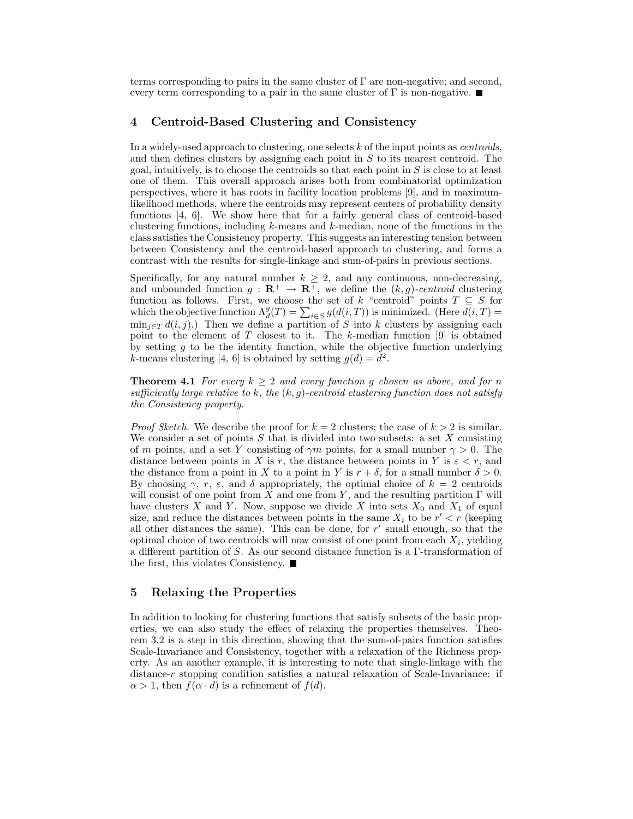terms corresponding to pairs in the same cluster of  $\Gamma$  are non-negative; and second, every term corresponding to a pair in the same cluster of  $\Gamma$  is non-negative.

# 4 Centroid-Based Clustering and Consistency

In a widely-used approach to clustering, one selects  $k$  of the input points as *centroids*, and then defines clusters by assigning each point in  $S$  to its nearest centroid. The goal, intuitively, is to choose the centroids so that each point in  $S$  is close to at least one of them. This overall approach arises both from combinatorial optimization perspectives, where it has roots in facility location problems [9], and in maximumlikelihood methods, where the centroids may represent centers of probability density functions [4, 6]. We show here that for a fairly general class of centroid-based clustering functions, including  $k$ -means and  $k$ -median, none of the functions in the class satisfies the Consistency property. This suggests an interesting tension between between Consistency and the centroid-based approach to clustering, and forms a contrast with the results for single-linkage and sum-of-pairs in previous sections.

Specifically, for any natural number  $k \geq 2$ , and any continuous, non-decreasing, and unbounded function  $g : \mathbf{R}^+ \to \mathbf{R}^+$ , we define the  $(k, g)$ -centroid clustering function as follows. First, we choose the set of k "centroid" points  $T \subseteq S$  for which the objective function  $\Lambda_d^g(T) = \sum_{i \in S} g(d(i,T))$  is minimized. (Here  $\overline{d(i,T)} =$  $\min_{i\in T} d(i, j).$  Then we define a partition of S into k clusters by assigning each point to the element of  $T$  closest to it. The k-median function [9] is obtained by setting  $g$  to be the identity function, while the objective function underlying k-means clustering [4, 6] is obtained by setting  $g(d) = d^2$ .

**Theorem 4.1** For every  $k \geq 2$  and every function g chosen as above, and for n sufficiently large relative to k, the  $(k, g)$ -centroid clustering function does not satisfy the Consistency property.

*Proof Sketch.* We describe the proof for  $k = 2$  clusters; the case of  $k > 2$  is similar. We consider a set of points  $S$  that is divided into two subsets: a set  $X$  consisting of m points, and a set Y consisting of  $\gamma m$  points, for a small number  $\gamma > 0$ . The distance between points in X is r, the distance between points in Y is  $\varepsilon < r$ , and the distance from a point in X to a point in Y is  $r + \delta$ , for a small number  $\delta > 0$ . By choosing  $\gamma$ , r,  $\varepsilon$ , and  $\delta$  appropriately, the optimal choice of  $k = 2$  centroids will consist of one point from X and one from Y, and the resulting partition  $\Gamma$  will have clusters X and Y. Now, suppose we divide X into sets  $X_0$  and  $X_1$  of equal size, and reduce the distances between points in the same  $X_i$  to be  $r' < r$  (keeping all other distances the same). This can be done, for  $r'$  small enough, so that the optimal choice of two centroids will now consist of one point from each  $X_i$ , yielding a different partition of S. As our second distance function is a Γ-transformation of the first, this violates Consistency.

#### 5 Relaxing the Properties

In addition to looking for clustering functions that satisfy subsets of the basic properties, we can also study the effect of relaxing the properties themselves. Theorem 3.2 is a step in this direction, showing that the sum-of-pairs function satisfies Scale-Invariance and Consistency, together with a relaxation of the Richness property. As an another example, it is interesting to note that single-linkage with the distance-r stopping condition satisfies a natural relaxation of Scale-Invariance: if  $\alpha > 1$ , then  $f(\alpha \cdot d)$  is a refinement of  $f(d)$ .